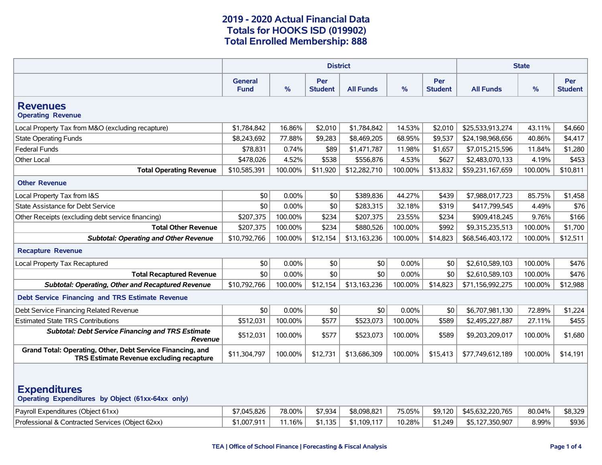|                                                                                                                                                                                                                                 | <b>District</b>               |          |                       |                  |         |                       | <b>State</b>     |         |                              |  |
|---------------------------------------------------------------------------------------------------------------------------------------------------------------------------------------------------------------------------------|-------------------------------|----------|-----------------------|------------------|---------|-----------------------|------------------|---------|------------------------------|--|
|                                                                                                                                                                                                                                 | <b>General</b><br><b>Fund</b> | $\%$     | Per<br><b>Student</b> | <b>All Funds</b> | $\%$    | Per<br><b>Student</b> | <b>All Funds</b> | %       | <b>Per</b><br><b>Student</b> |  |
| <b>Revenues</b><br><b>Operating Revenue</b>                                                                                                                                                                                     |                               |          |                       |                  |         |                       |                  |         |                              |  |
| Local Property Tax from M&O (excluding recapture)                                                                                                                                                                               | \$1,784,842                   | 16.86%   | \$2,010               | \$1,784,842      | 14.53%  | \$2,010               | \$25,533,913,274 | 43.11%  | \$4,660                      |  |
| <b>State Operating Funds</b>                                                                                                                                                                                                    | \$8,243,692                   | 77.88%   | \$9,283               | \$8,469,205      | 68.95%  | \$9.537               | \$24,198,968,656 | 40.86%  | \$4,417                      |  |
| <b>Federal Funds</b>                                                                                                                                                                                                            | \$78,831                      | 0.74%    | \$89                  | \$1,471,787      | 11.98%  | \$1,657               | \$7,015,215,596  | 11.84%  | \$1,280                      |  |
| Other Local                                                                                                                                                                                                                     | \$478,026                     | 4.52%    | \$538                 | \$556,876        | 4.53%   | \$627                 | \$2,483,070,133  | 4.19%   | \$453                        |  |
| <b>Total Operating Revenue</b>                                                                                                                                                                                                  | \$10,585,391                  | 100.00%  | \$11,920              | \$12,282,710     | 100.00% | \$13,832              | \$59,231,167,659 | 100.00% | \$10,811                     |  |
| <b>Other Revenue</b>                                                                                                                                                                                                            |                               |          |                       |                  |         |                       |                  |         |                              |  |
| Local Property Tax from I&S                                                                                                                                                                                                     | \$0                           | 0.00%    | \$0                   | \$389,836        | 44.27%  | \$439                 | \$7,988,017,723  | 85.75%  | \$1,458                      |  |
| State Assistance for Debt Service                                                                                                                                                                                               | \$0                           | 0.00%    | \$0                   | \$283,315        | 32.18%  | \$319                 | \$417,799,545    | 4.49%   | \$76                         |  |
| Other Receipts (excluding debt service financing)                                                                                                                                                                               | \$207,375                     | 100.00%  | \$234                 | \$207,375        | 23.55%  | \$234                 | \$909,418,245    | 9.76%   | \$166                        |  |
| <b>Total Other Revenue</b>                                                                                                                                                                                                      | \$207,375                     | 100.00%  | \$234                 | \$880,526        | 100.00% | \$992                 | \$9,315,235,513  | 100.00% | \$1,700                      |  |
| <b>Subtotal: Operating and Other Revenue</b>                                                                                                                                                                                    | \$10,792,766                  | 100.00%  | \$12,154              | \$13,163,236     | 100.00% | \$14,823              | \$68,546,403,172 | 100.00% | \$12,511                     |  |
| <b>Recapture Revenue</b>                                                                                                                                                                                                        |                               |          |                       |                  |         |                       |                  |         |                              |  |
| Local Property Tax Recaptured                                                                                                                                                                                                   | \$0                           | 0.00%    | \$0                   | \$0              | 0.00%   | \$0                   | \$2,610,589,103  | 100.00% | \$476                        |  |
| <b>Total Recaptured Revenue</b>                                                                                                                                                                                                 | \$0                           | $0.00\%$ | \$0                   | \$0              | 0.00%   | \$0                   | \$2,610,589,103  | 100.00% | \$476                        |  |
| <b>Subtotal: Operating, Other and Recaptured Revenue</b>                                                                                                                                                                        | \$10,792,766                  | 100.00%  | \$12,154              | \$13,163,236     | 100.00% | \$14,823              | \$71,156,992,275 | 100.00% | \$12,988                     |  |
| Debt Service Financing and TRS Estimate Revenue                                                                                                                                                                                 |                               |          |                       |                  |         |                       |                  |         |                              |  |
| Debt Service Financing Related Revenue                                                                                                                                                                                          | \$0                           | 0.00%    | \$0                   | \$0              | 0.00%   | \$0                   | \$6,707,981,130  | 72.89%  | \$1,224                      |  |
| <b>Estimated State TRS Contributions</b>                                                                                                                                                                                        | \$512,031                     | 100.00%  | \$577                 | \$523,073        | 100.00% | \$589                 | \$2,495,227,887  | 27.11%  | \$455                        |  |
| <b>Subtotal: Debt Service Financing and TRS Estimate</b><br><b>Revenue</b>                                                                                                                                                      | \$512,031                     | 100.00%  | \$577                 | \$523,073        | 100.00% | \$589                 | \$9,203,209,017  | 100.00% | \$1,680                      |  |
| Grand Total: Operating, Other, Debt Service Financing, and<br>TRS Estimate Revenue excluding recapture                                                                                                                          | \$11,304,797                  | 100.00%  | \$12,731              | \$13,686,309     | 100.00% | \$15,413              | \$77,749,612,189 | 100.00% | \$14,191                     |  |
| <b>Expenditures</b><br>Operating Expenditures by Object (61xx-64xx only)<br>78.00%<br>\$8,329<br>Payroll Expenditures (Object 61xx)<br>\$7,045,826<br>\$7,934<br>\$8,098,821<br>75.05%<br>\$9,120<br>\$45,632,220,765<br>80.04% |                               |          |                       |                  |         |                       |                  |         |                              |  |
| Professional & Contracted Services (Object 62xx)                                                                                                                                                                                | \$1,007,911                   | 11.16%   | \$1,135               | \$1,109,117      | 10.28%  | \$1,249               | \$5,127,350,907  | 8.99%   | \$936                        |  |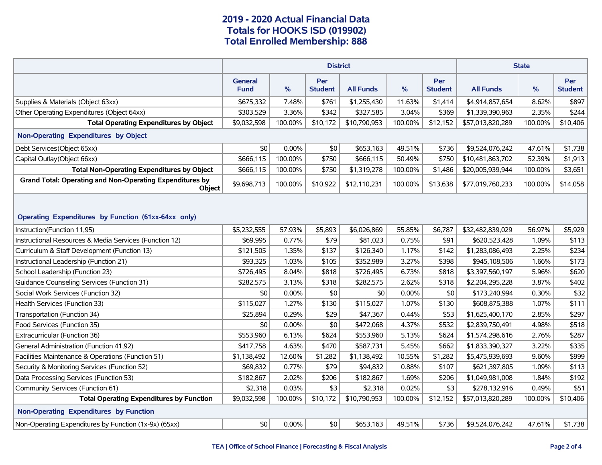|                                                                                  | <b>District</b>               |         |                       |                  |         |                              | <b>State</b>     |         |                       |  |
|----------------------------------------------------------------------------------|-------------------------------|---------|-----------------------|------------------|---------|------------------------------|------------------|---------|-----------------------|--|
|                                                                                  | <b>General</b><br><b>Fund</b> | %       | Per<br><b>Student</b> | <b>All Funds</b> | %       | <b>Per</b><br><b>Student</b> | <b>All Funds</b> | %       | Per<br><b>Student</b> |  |
| Supplies & Materials (Object 63xx)                                               | \$675,332                     | 7.48%   | \$761                 | \$1,255,430      | 11.63%  | \$1,414                      | \$4,914,857,654  | 8.62%   | \$897                 |  |
| Other Operating Expenditures (Object 64xx)                                       | \$303,529                     | 3.36%   | \$342                 | \$327,585        | 3.04%   | \$369                        | \$1,339,390,963  | 2.35%   | \$244                 |  |
| <b>Total Operating Expenditures by Object</b>                                    | \$9,032,598                   | 100.00% | \$10,172              | \$10,790,953     | 100.00% | \$12,152                     | \$57,013,820,289 | 100.00% | \$10,406              |  |
| Non-Operating Expenditures by Object                                             |                               |         |                       |                  |         |                              |                  |         |                       |  |
| Debt Services(Object 65xx)                                                       | \$0                           | 0.00%   | \$0                   | \$653,163        | 49.51%  | \$736                        | \$9,524,076,242  | 47.61%  | \$1,738               |  |
| Capital Outlay (Object 66xx)                                                     | \$666,115                     | 100.00% | \$750                 | \$666,115        | 50.49%  | \$750                        | \$10,481,863,702 | 52.39%  | \$1,913               |  |
| <b>Total Non-Operating Expenditures by Object</b>                                | \$666,115                     | 100.00% | \$750                 | \$1,319,278      | 100.00% | \$1,486                      | \$20,005,939,944 | 100.00% | \$3,651               |  |
| <b>Grand Total: Operating and Non-Operating Expenditures by</b><br><b>Object</b> | \$9,698,713                   | 100.00% | \$10,922              | \$12,110,231     | 100.00% | \$13,638                     | \$77,019,760,233 | 100.00% | \$14,058              |  |
| Operating Expenditures by Function (61xx-64xx only)                              |                               |         |                       |                  |         |                              |                  |         |                       |  |
| Instruction(Function 11,95)                                                      | \$5,232,555                   | 57.93%  | \$5,893               | \$6,026,869      | 55.85%  | \$6,787                      | \$32,482,839,029 | 56.97%  | \$5,929               |  |
| Instructional Resources & Media Services (Function 12)                           | \$69,995                      | 0.77%   | \$79                  | \$81,023         | 0.75%   | \$91                         | \$620,523,428    | 1.09%   | \$113                 |  |
| Curriculum & Staff Development (Function 13)                                     | \$121,505                     | 1.35%   | \$137                 | \$126,340        | 1.17%   | \$142                        | \$1,283,086,493  | 2.25%   | \$234                 |  |
| Instructional Leadership (Function 21)                                           | \$93,325                      | 1.03%   | \$105                 | \$352,989        | 3.27%   | \$398                        | \$945,108,506    | 1.66%   | \$173                 |  |
| School Leadership (Function 23)                                                  | \$726,495                     | 8.04%   | \$818                 | \$726,495        | 6.73%   | \$818                        | \$3,397,560,197  | 5.96%   | \$620                 |  |
| Guidance Counseling Services (Function 31)                                       | \$282,575                     | 3.13%   | \$318                 | \$282,575        | 2.62%   | \$318                        | \$2,204,295,228  | 3.87%   | \$402                 |  |
| Social Work Services (Function 32)                                               | \$0                           | 0.00%   | \$0                   | \$0              | 0.00%   | \$0                          | \$173,240,994    | 0.30%   | \$32                  |  |
| Health Services (Function 33)                                                    | \$115,027                     | 1.27%   | \$130                 | \$115,027        | 1.07%   | \$130                        | \$608,875,388    | 1.07%   | \$111                 |  |
| Transportation (Function 34)                                                     | \$25,894                      | 0.29%   | \$29                  | \$47,367         | 0.44%   | \$53                         | \$1,625,400,170  | 2.85%   | \$297                 |  |
| Food Services (Function 35)                                                      | \$0                           | 0.00%   | \$0                   | \$472,068        | 4.37%   | \$532                        | \$2,839,750,491  | 4.98%   | \$518                 |  |
| Extracurricular (Function 36)                                                    | \$553,960                     | 6.13%   | \$624                 | \$553,960        | 5.13%   | \$624                        | \$1,574,298,616  | 2.76%   | \$287                 |  |
| General Administration (Function 41,92)                                          | \$417,758                     | 4.63%   | \$470                 | \$587,731        | 5.45%   | \$662                        | \$1,833,390,327  | 3.22%   | \$335                 |  |
| Facilities Maintenance & Operations (Function 51)                                | \$1,138,492                   | 12.60%  | \$1,282               | \$1,138,492      | 10.55%  | \$1,282                      | \$5,475,939,693  | 9.60%   | \$999                 |  |
| Security & Monitoring Services (Function 52)                                     | \$69,832                      | 0.77%   | \$79                  | \$94,832         | 0.88%   | \$107                        | \$621,397,805    | 1.09%   | \$113                 |  |
| Data Processing Services (Function 53)                                           | \$182,867                     | 2.02%   | \$206                 | \$182,867        | 1.69%   | \$206                        | \$1,049,981,008  | 1.84%   | \$192                 |  |
| Community Services (Function 61)                                                 | \$2,318                       | 0.03%   | \$3                   | \$2,318          | 0.02%   | \$3                          | \$278,132,916    | 0.49%   | \$51                  |  |
| <b>Total Operating Expenditures by Function</b>                                  | \$9,032,598                   | 100.00% | \$10,172              | \$10,790,953     | 100.00% | \$12,152                     | \$57,013,820,289 | 100.00% | \$10,406              |  |
| <b>Non-Operating Expenditures by Function</b>                                    |                               |         |                       |                  |         |                              |                  |         |                       |  |
| Non-Operating Expenditures by Function (1x-9x) (65xx)                            | \$0                           | 0.00%   | \$0                   | \$653,163        | 49.51%  | \$736                        | \$9,524,076,242  | 47.61%  | \$1,738               |  |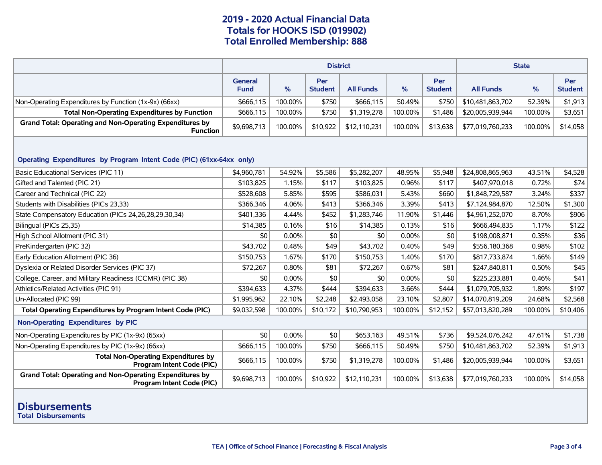|                                                                                              | <b>District</b>               |          |                       |                  |         |                       | <b>State</b>     |         |                              |  |
|----------------------------------------------------------------------------------------------|-------------------------------|----------|-----------------------|------------------|---------|-----------------------|------------------|---------|------------------------------|--|
|                                                                                              | <b>General</b><br><b>Fund</b> | %        | Per<br><b>Student</b> | <b>All Funds</b> | %       | Per<br><b>Student</b> | <b>All Funds</b> | $\%$    | <b>Per</b><br><b>Student</b> |  |
| Non-Operating Expenditures by Function (1x-9x) (66xx)                                        | \$666,115                     | 100.00%  | \$750                 | \$666,115        | 50.49%  | \$750                 | \$10,481,863,702 | 52.39%  | \$1,913                      |  |
| <b>Total Non-Operating Expenditures by Function</b>                                          | \$666,115                     | 100.00%  | \$750                 | \$1,319,278      | 100.00% | \$1,486               | \$20,005,939,944 | 100.00% | \$3,651                      |  |
| <b>Grand Total: Operating and Non-Operating Expenditures by</b><br><b>Function</b>           | \$9,698,713                   | 100.00%  | \$10,922              | \$12,110,231     | 100.00% | \$13,638              | \$77,019,760,233 | 100.00% | \$14,058                     |  |
| Operating Expenditures by Program Intent Code (PIC) (61xx-64xx only)                         |                               |          |                       |                  |         |                       |                  |         |                              |  |
| Basic Educational Services (PIC 11)                                                          | \$4.960.781                   | 54.92%   | \$5,586               | \$5,282,207      | 48.95%  | \$5,948               | \$24,808,865,963 | 43.51%  | \$4,528                      |  |
| Gifted and Talented (PIC 21)                                                                 | \$103,825                     | 1.15%    | \$117                 | \$103,825        | 0.96%   | \$117                 | \$407,970,018    | 0.72%   | \$74                         |  |
| Career and Technical (PIC 22)                                                                | \$528,608                     | 5.85%    | \$595                 | \$586,031        | 5.43%   | \$660                 | \$1,848,729,587  | 3.24%   | \$337                        |  |
| Students with Disabilities (PICs 23,33)                                                      | \$366,346                     | 4.06%    | \$413                 | \$366,346        | 3.39%   | \$413                 | \$7,124,984,870  | 12.50%  | \$1,300                      |  |
| State Compensatory Education (PICs 24,26,28,29,30,34)                                        | \$401,336                     | 4.44%    | \$452                 | \$1,283,746      | 11.90%  | \$1,446               | \$4,961,252,070  | 8.70%   | \$906                        |  |
| Bilingual (PICs 25,35)                                                                       | \$14,385                      | 0.16%    | \$16                  | \$14,385         | 0.13%   | \$16                  | \$666,494,835    | 1.17%   | \$122                        |  |
| High School Allotment (PIC 31)                                                               | \$0                           | $0.00\%$ | \$0                   | \$0              | 0.00%   | \$0                   | \$198,008,871    | 0.35%   | \$36                         |  |
| PreKindergarten (PIC 32)                                                                     | \$43,702                      | 0.48%    | \$49                  | \$43,702         | 0.40%   | \$49                  | \$556,180,368    | 0.98%   | \$102                        |  |
| Early Education Allotment (PIC 36)                                                           | \$150,753                     | 1.67%    | \$170                 | \$150,753        | 1.40%   | \$170                 | \$817,733,874    | 1.66%   | \$149                        |  |
| Dyslexia or Related Disorder Services (PIC 37)                                               | \$72,267                      | 0.80%    | \$81                  | \$72,267         | 0.67%   | \$81                  | \$247,840,811    | 0.50%   | \$45                         |  |
| College, Career, and Military Readiness (CCMR) (PIC 38)                                      | \$0                           | 0.00%    | \$0                   | \$0              | 0.00%   | \$0                   | \$225,233,881    | 0.46%   | \$41                         |  |
| Athletics/Related Activities (PIC 91)                                                        | \$394,633                     | 4.37%    | \$444                 | \$394,633        | 3.66%   | \$444                 | \$1,079,705,932  | 1.89%   | \$197                        |  |
| Un-Allocated (PIC 99)                                                                        | \$1,995,962                   | 22.10%   | \$2,248               | \$2,493,058      | 23.10%  | \$2,807               | \$14,070,819,209 | 24.68%  | \$2,568                      |  |
| Total Operating Expenditures by Program Intent Code (PIC)                                    | \$9,032,598                   | 100.00%  | \$10,172              | \$10,790,953     | 100.00% | \$12,152              | \$57,013,820,289 | 100.00% | \$10,406                     |  |
| Non-Operating Expenditures by PIC                                                            |                               |          |                       |                  |         |                       |                  |         |                              |  |
| Non-Operating Expenditures by PIC (1x-9x) (65xx)                                             | \$0                           | 0.00%    | \$0                   | \$653,163        | 49.51%  | \$736                 | \$9,524,076,242  | 47.61%  | \$1,738                      |  |
| Non-Operating Expenditures by PIC (1x-9x) (66xx)                                             | \$666.115                     | 100.00%  | \$750                 | \$666,115        | 50.49%  | \$750                 | \$10,481,863,702 | 52.39%  | \$1,913                      |  |
| <b>Total Non-Operating Expenditures by</b><br>Program Intent Code (PIC)                      | \$666,115                     | 100.00%  | \$750                 | \$1.319.278      | 100.00% | \$1,486               | \$20,005,939,944 | 100.00% | \$3,651                      |  |
| <b>Grand Total: Operating and Non-Operating Expenditures by</b><br>Program Intent Code (PIC) | \$9,698,713                   | 100.00%  | \$10,922              | \$12,110,231     | 100.00% | \$13,638              | \$77,019,760,233 | 100.00% | \$14,058                     |  |
|                                                                                              |                               |          |                       |                  |         |                       |                  |         |                              |  |

# **Disbursements**

**Total Disbursements**